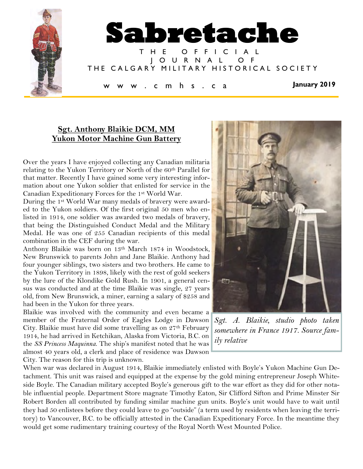

# **Sgt. Anthony Blaikie DCM, MM Yukon Motor Machine Gun Battery**

Over the years I have enjoyed collecting any Canadian militaria relating to the Yukon Territory or North of the 60<sup>th</sup> Parallel for that matter. Recently I have gained some very interesting information about one Yukon soldier that enlisted for service in the Canadian Expeditionary Forces for the 1st World War.

During the 1st World War many medals of bravery were awarded to the Yukon soldiers. Of the first original 50 men who enlisted in 1914, one soldier was awarded two medals of bravery, that being the Distinguished Conduct Medal and the Military Medal. He was one of 255 Canadian recipients of this medal combination in the CEF during the war.

Anthony Blaikie was born on 13th March 1874 in Woodstock, New Brunswick to parents John and Jane Blaikie. Anthony had four younger siblings, two sisters and two brothers. He came to the Yukon Territory in 1898, likely with the rest of gold seekers by the lure of the Klondike Gold Rush. In 1901, a general census was conducted and at the time Blaikie was single, 27 years old, from New Brunswick, a miner, earning a salary of \$258 and had been in the Yukon for three years.

Blaikie was involved with the community and even became a member of the Fraternal Order of Eagles Lodge in Dawson City. Blaikie must have did some travelling as on 27th February 1914, he had arrived in Ketchikan, Alaska from Victoria, B.C. on the *SS Princess Maquinna*. The ship's manifest noted that he was almost 40 years old, a clerk and place of residence was Dawson City. The reason for this trip is unknown.



*Sgt. A. Blaikie, studio photo taken somewhere in France 1917. Source family relative*

When war was declared in August 1914, Blaikie immediately enlisted with Boyle's Yukon Machine Gun Detachment. This unit was raised and equipped at the expense by the gold mining entrepreneur Joseph Whiteside Boyle. The Canadian military accepted Boyle's generous gift to the war effort as they did for other notable influential people. Department Store magnate Timothy Eaton, Sir Clifford Sifton and Prime Minster Sir Robert Borden all contributed by funding similar machine gun units. Boyle's unit would have to wait until they had 50 enlistees before they could leave to go "outside" (a term used by residents when leaving the territory) to Vancouver, B.C. to be officially attested in the Canadian Expeditionary Force. In the meantime they would get some rudimentary training courtesy of the Royal North West Mounted Police.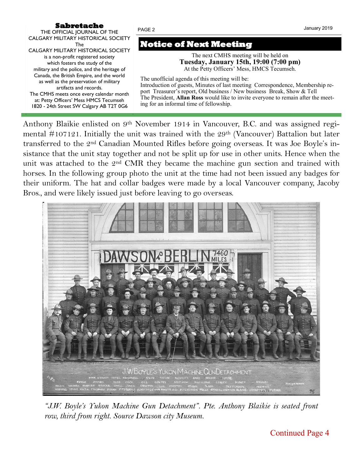# **Sabretache**

THE OFFICIAL JOURNAL OF THE CALGARY MILITARY HISTORICAL SOCIETY The CALGARY MILITARY HISTORICAL SOCIETY is a non-profit registered society which fosters the study of the military and the police, and the heritage of Canada, the British Empire, and the world as well as the preservation of military artifacts and records. The CMHS meets once every calendar month at: Petty Officers' Mess HMCS Tecumseh 1820 - 24th Street SW Calgary AB T2T 0G6

# **Notice of Next Meeting**

PAGE 2

The next CMHS meeting will be held on **Tuesday, January 15th, 19:00 (7:00 pm)** At the Petty Officers' Mess, HMCS Tecumseh.

The unofficial agenda of this meeting will be: Introduction of guests, Minutes of last meeting Correspondence, Membership report Treasurer's report, Old business / New business Break, Show & Tell The President, **Allan Ross** would like to invite everyone to remain after the meeting for an informal time of fellowship.

Anthony Blaikie enlisted on 9<sup>th</sup> November 1914 in Vancouver, B.C. and was assigned regimental  $\#107121$ . Initially the unit was trained with the 29<sup>th</sup> (Vancouver) Battalion but later transferred to the 2nd Canadian Mounted Rifles before going overseas. It was Joe Boyle's insistance that the unit stay together and not be split up for use in other units. Hence when the unit was attached to the 2<sup>nd</sup> CMR they became the machine gun section and trained with horses. In the following group photo the unit at the time had not been issued any badges for their uniform. The hat and collar badges were made by a local Vancouver company, Jacoby Bros., and were likely issued just before leaving to go overseas.



*"J.W. Boyle's Yukon Machine Gun Detachment". Pte. Anthony Blaikie is seated front row, third from right. Source Dawson city Museum.* 

January 2019

Continued Page 4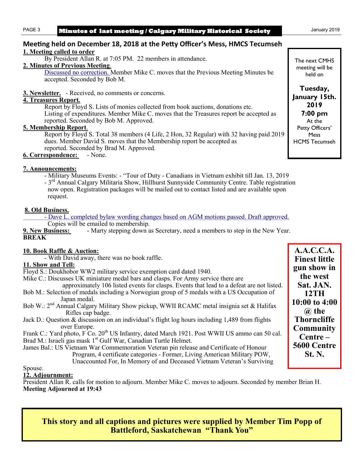#### PAGE 3 **Minutes of last meeting / Calgary Military Historical Society** January 2019

#### **Meeting held on December 18, 2018 at the Petty Officer's Mess, HMCS Tecumseh 1. Meeting called to order**

By President Allan R. at 7:05 PM. 22 members in attendance.

## **2. Minutes of Previous Meeting**.

Discussed no correction. Member Mike C. moves that the Previous Meeting Minutes be accepted. Seconded by Bob M.

**3. Newsletter.** - Received, no comments or concerns.

## **4. Treasures Report***.*

Report by Floyd S. Lists of monies collected from book auctions, donations etc. Listing of expenditures. Member Mike C. moves that the Treasures report be accepted as reported. Seconded by Bob M. Approved.

#### **5. Membership Report**.

Report by Floyd S. Total 38 members (4 Life, 2 Hon, 32 Regular) with 32 having paid 2019 dues. Member David S. moves that the Membership report be accepted as reported. Seconded by Brad M. Approved.

**6. Correspondence:** - None.

## **7. Announcements:**

- Military Museums Events: - "Tour of Duty - Canadians in Vietnam exhibit till Jan. 13, 2019 - 3<sup>rd</sup> Annual Calgary Militaria Show, Hillhurst Sunnyside Community Centre. Table registration now open. Registration packages will be mailed out to contact listed and are available upon request.

## **8. Old Business.**

- Dave L. completed bylaw wording changes based on AGM motions passed. Draft approved.

Copies will be emailed to membership.

**9. New Business:** - Marty stepping down as Secretary, need a members to step in the New Year. **BREAK**

#### **10. Book Raffle & Auction:**

- With David away, there was no book raffle.

#### **11. Show and Tell:**

Floyd S.: Doukhobor WW2 military service exemption card dated 1940.

Mike C.: Discusses UK miniature medal bars and clasps. For Army service there are

- approximately 106 listed events for clasps. Events that lead to a defeat are not listed. Bob M.: Selection of medals including a Norwegian group of 5 medals with a US Occupation of Japan medal.
- Bob W.: 2nd Annual Calgary Military Show pickup, WWII RCAMC metal insignia set & Halifax Rifles cap badge.
- Jack D.: Question & discussion on an individual's flight log hours including 1,489 from flights over Europe.

Frank C.: Yard photo, F Co. 20<sup>th</sup> US Infantry, dated March 1921. Post WWII US ammo can 50 cal. Brad M.: Israeli gas mask 1<sup>st</sup> Gulf War, Canadian Turtle Helmet.

James Bal.: US Vietnam War Commemoration Veteran pin release and Certificate of Honour Program, 4 certificate categories - Former, Living American Military POW, Unaccounted For, In Memory of and Deceased Vietnam Veteran's Surviving

Spouse.

## **12. Adjournment:**

President Allan R. calls for motion to adjourn. Member Mike C. moves to adjourn. Seconded by member Brian H. **Meeting Adjourned at 19:43**

**This story and all captions and pictures were supplied by Member Tim Popp of Battleford, Saskatchewan "Thank You"**

**A.A.C.C.A. Finest little gun show in the west Sat. JAN. 12TH 10:00 to 4:00 @ the Thorncliffe Community Centre – 5600 Centre St. N.** 

The next CMHS meeting will be held on

**Tuesday, January 15th. 2019 7:00 pm** At the Petty Officers' **Mess** HCMS Tecumseh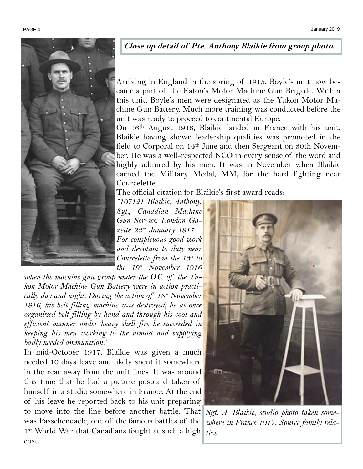

## **Close up detail of Pte. Anthony Blaikie from group photo.**

Arriving in England in the spring of 1915, Boyle's unit now became a part of the Eaton's Motor Machine Gun Brigade. Within this unit, Boyle's men were designated as the Yukon Motor Machine Gun Battery. Much more training was conducted before the unit was ready to proceed to continental Europe.

On 16th August 1916, Blaikie landed in France with his unit. Blaikie having shown leadership qualities was promoted in the field to Corporal on 14<sup>th</sup> June and then Sergeant on 30th November. He was a well-respected NCO in every sense of the word and highly admired by his men. It was in November when Blaikie earned the Military Medal, MM, for the hard fighting near Courcelette.

The official citation for Blaikie's first award reads:

*"107121 Blaikie, Anthony, Sgt., Canadian Machine Gun Service, London Gazette 22nd January 1917 – For conspicuous good work and devotion to duty near Courcelette from the 13th to the 19th November 1916* 

*when the machine gun group under the O.C. of the Yukon Motor Machine Gun Battery were in action practically day and night. During the action of 18th November 1916, his belt filling machine was destroyed, he at once organized belt filling by hand and through his cool and efficient manner under heavy shell fire he succeeded in keeping his men working to the utmost and supplying badly needed ammunition."*

In mid-October 1917, Blaikie was given a much needed 10 days leave and likely spent it somewhere in the rear away from the unit lines. It was around this time that he had a picture postcard taken of himself in a studio somewhere in France. At the end of his leave he reported back to his unit preparing to move into the line before another battle. That was Passchendaele, one of the famous battles of the 1<sup>st</sup> World War that Canadians fought at such a high cost.



*Sgt. A. Blaikie, studio photo taken somewhere in France 1917. Source family relative*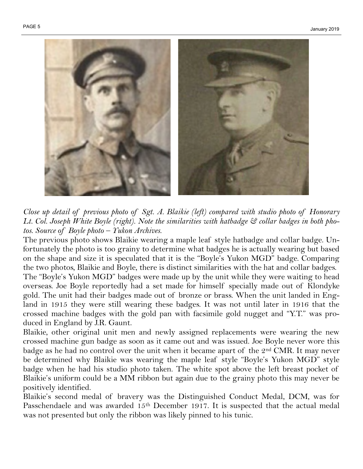

*Close up detail of previous photo of Sgt. A. Blaikie (left) compared with studio photo of Honorary Lt. Col. Joseph White Boyle (right). Note the similarities with hatbadge & collar badges in both photos. Source of Boyle photo – Yukon Archives.* 

The previous photo shows Blaikie wearing a maple leaf style hatbadge and collar badge. Unfortunately the photo is too grainy to determine what badges he is actually wearing but based on the shape and size it is speculated that it is the "Boyle's Yukon MGD" badge. Comparing the two photos, Blaikie and Boyle, there is distinct similarities with the hat and collar badges. The "Boyle's Yukon MGD" badges were made up by the unit while they were waiting to head overseas. Joe Boyle reportedly had a set made for himself specially made out of Klondyke gold. The unit had their badges made out of bronze or brass. When the unit landed in England in 1915 they were still wearing these badges. It was not until later in 1916 that the crossed machine badges with the gold pan with facsimile gold nugget and "Y.T." was produced in England by J.R. Gaunt.

Blaikie, other original unit men and newly assigned replacements were wearing the new crossed machine gun badge as soon as it came out and was issued. Joe Boyle never wore this badge as he had no control over the unit when it became apart of the  $2<sup>nd</sup>$  CMR. It may never be determined why Blaikie was wearing the maple leaf style "Boyle's Yukon MGD" style badge when he had his studio photo taken. The white spot above the left breast pocket of Blaikie's uniform could be a MM ribbon but again due to the grainy photo this may never be positively identified.

Blaikie's second medal of bravery was the Distinguished Conduct Medal, DCM, was for Passchendaele and was awarded 15<sup>th</sup> December 1917. It is suspected that the actual medal was not presented but only the ribbon was likely pinned to his tunic.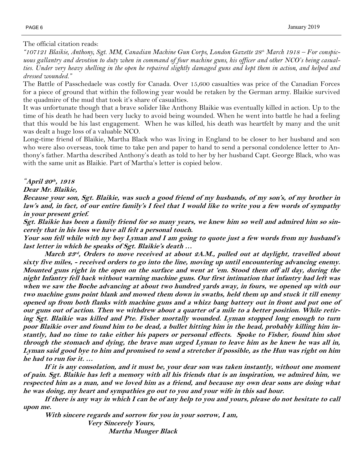The official citation reads:

*"107121 Blaikie, Anthony, Sgt. MM, Canadian Machine Gun Corps, London Gazette 28th March 1918 – For conspic*uous gallantry and devotion to duty when in command of four machine guns, his officer and other NCO's being casual*ties. Under very heavy shelling in the open he repaired slightly damaged guns and kept them in action, and helped and dressed wounded."*

The Battle of Passchedaele was costly for Canada. Over 15,600 casualties was price of the Canadian Forces for a piece of ground that within the following year would be retaken by the German army. Blaikie survived the quadmire of the mud that took it's share of casualties.

It was unfortunate though that a brave solider like Anthony Blaikie was eventually killed in action. Up to the time of his death he had been very lucky to avoid being wounded. When he went into battle he had a feeling that this would be his last engagement. When he was killed, his death was heartfelt by many and the unit was dealt a huge loss of a valuable NCO.

Long-time friend of Blaikie, Martha Black who was living in England to be closer to her husband and son who were also overseas, took time to take pen and paper to hand to send a personal condolence letter to Anthony's father. Martha described Anthony's death as told to her by her husband Capt. George Black, who was with the same unit as Blaikie. Part of Martha's letter is copied below.

# *"***April 20 th , 1918**

#### **Dear Mr. Blaikie,**

**Because your son, Sgt. Blaikie, was such a good friend of my husbands, of my son's, of my brother in law's and, in fact, of our entire family's I feel that I would like to write you a few words of sympathy in your present grief.**

**Sgt. Blaikie has been a family friend for so many years, we knew him so well and admired him so sincerely that in his loss we have all felt a personal touch.**

**Your son fell while with my boy Lyman and I am going to quote just a few words from my husband's last letter in which he speaks of Sgt. Blaikie's death …**

**March 23 rd , Orders to move received at about 2A.M., pulled out at daylight, travelled about sixty five miles, - received orders to go into the line, moving up until encountering advancing enemy. Mounted guns right in the open on the surface and went at 'em. Stood them off all day, during the night Infantry fell back without warning machine guns. Our first intimation that infantry had left was when we saw the Boche advancing at about two hundred yards away, in fours, we opened up with our two machine guns point blank and mowed them down in swaths, held them up and stuck it till enemy opened up from both flanks with machine guns and a whizz bang battery out in front and put one of our guns out of action. Then we withdrew about a quarter of a mile to a better position. While retiring Sgt. Blaikie was killed and Pte. Fisher mortally wounded. Lyman stopped long enough to turn poor Blaikie over and found him to be dead, a bullet hitting him in the head, probably killing him instantly, had no time to take either his papers or personal effects. Spoke to Fisher, found him shot through the stomach and dying, the brave man urged Lyman to leave him as he knew he was all in, Lyman said good bye to him and promised to send a stretcher if possible, as the Hun was right on him he had to run for it. …** 

**If it is any consolation, and it must be, your dear son was taken instantly, without one moment of pain. Sgt. Blaikie has left a memory with all his friends that is an inspiration, we admired him, we respected him as a man, and we loved him as a friend, and because my own dear sons are doing what he was doing, my heart and sympathies go out to you and your wife in this sad hour.**

**If there is any way in which I can be of any help to you and yours, please do not hesitate to call upon me.**

**With sincere regards and sorrow for you in your sorrow, I am,**

**Very Sincerely Yours, Martha Munger Black**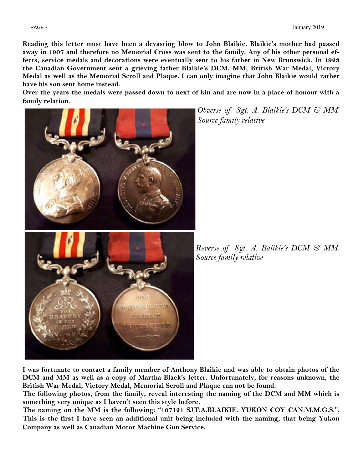**Reading this letter must have been a devasting blow to John Blaikie. Blaikie's mother had passed away in 1907 and therefore no Memorial Cross was sent to the family. Any of his other personal effects, service medals and decorations were eventually sent to his father in New Brunswick. In 1923 the Canadian Government sent a grieving father Blaikie's DCM, MM, British War Medal, Victory Medal as well as the Memorial Scroll and Plaque. I can only imagine that John Blaikie would rather have his son sent home instead.** 

**Over the years the medals were passed down to next of kin and are now in a place of honour with a family relation.** 



*Obverse of Sgt. A. Blaikie's DCM & MM. Source family relative*

*Reverse of Sgt. A. Balikie's DCM & MM. Source family relative*

**I was fortunate to contact a family member of Anthony Blaikie and was able to obtain photos of the DCM and MM as well as a copy of Martha Black's letter. Unfortunately, for reasons unknown, the British War Medal, Victory Medal, Memorial Scroll and Plaque can not be found.**

**The following photos, from the family, reveal interesting the naming of the DCM and MM which is something very unique as I haven't seen this style before.** 

**The naming on the MM is the following: "107121 SJT:A.BLAIKIE. YUKON COY CAN:M.M.G.S.". This is the first I have seen an additional unit being included with the naming, that being Yukon Company as well as Canadian Motor Machine Gun Service.**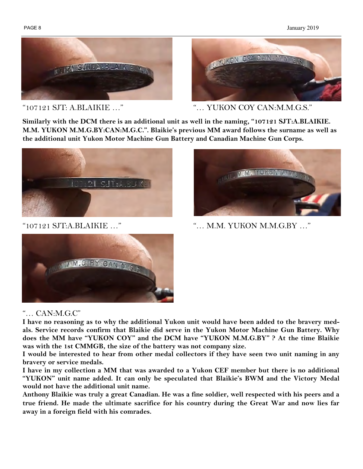#### PAGE 8 January 2019





"107121 SJT: A.BLAIKIE …" "… YUKON COY CAN:M.M.G.S."

**Similarly with the DCM there is an additional unit as well in the naming, "107121 SJT:A.BLAIKIE. M.M. YUKON M.M.G.BY:CAN:M.G.C.". Blaikie's previous MM award follows the surname as well as the additional unit Yukon Motor Machine Gun Battery and Canadian Machine Gun Corps.** 





"107121 SJT:A.BLAIKIE …" "… M.M. YUKON M.M.G.BY …"



# "… CAN:M.G.C"

**I have no reasoning as to why the additional Yukon unit would have been added to the bravery medals. Service records confirm that Blaikie did serve in the Yukon Motor Machine Gun Battery. Why does the MM have "YUKON COY" and the DCM have "YUKON M.M.G.BY" ? At the time Blaikie was with the 1st CMMGB, the size of the battery was not company size.** 

**I would be interested to hear from other medal collectors if they have seen two unit naming in any bravery or service medals.** 

**I have in my collection a MM that was awarded to a Yukon CEF member but there is no additional "YUKON" unit name added. It can only be speculated that Blaikie's BWM and the Victory Medal would not have the additional unit name.** 

**Anthony Blaikie was truly a great Canadian. He was a fine soldier, well respected with his peers and a true friend. He made the ultimate sacrifice for his country during the Great War and now lies far away in a foreign field with his comrades.**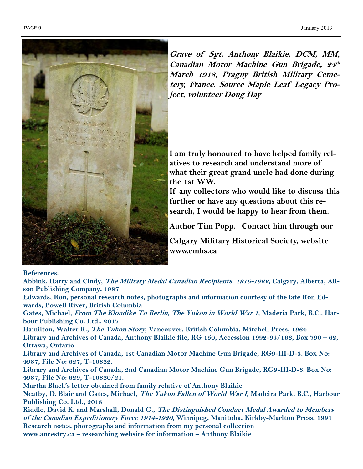

**Grave of Sgt. Anthony Blaikie, DCM, MM, Canadian Motor Machine Gun Brigade, 24 th March 1918, Pragny British Military Cemetery, France. Source Maple Leaf Legacy Project, volunteer Doug Hay**

**I am truly honoured to have helped family relatives to research and understand more of what their great grand uncle had done during the 1st WW.** 

**If any collectors who would like to discuss this further or have any questions about this research, I would be happy to hear from them.** 

**Author Tim Popp. Contact him through our** 

**Calgary Military Historical Society, website www.cmhs.ca** 

#### **References:**

**Abbink, Harry and Cindy, The Military Medal Canadian Recipients, 1916-1922, Calgary, Alberta, Alison Publishing Company, 1987**

**Edwards, Ron, personal research notes, photographs and information courtesy of the late Ron Edwards, Powell River, British Columbia**

**Gates, Michael, From The Klondike To Berlin, The Yukon in World War 1, Maderia Park, B.C., Harbour Publishing Co. Ltd., 2017**

**Hamilton, Walter R., The Yukon Story, Vancouver, British Columbia, Mitchell Press, 1964 Library and Archives of Canada, Anthony Blaikie file, RG 150, Accession 1992-93/166, Box 790 – 62, Ottawa, Ontario**

**Library and Archives of Canada, 1st Canadian Motor Machine Gun Brigade, RG9-III-D-3. Box No: 4987, File No: 627, T-10822.**

**Library and Archives of Canada, 2nd Canadian Motor Machine Gun Brigade, RG9-III-D-3. Box No: 4987, File No: 629, T-10820/21.**

**Martha Black's letter obtained from family relative of Anthony Blaikie**

**Neatby, D. Blair and Gates, Michael, The Yukon Fallen of World War I, Madeira Park, B.C., Harbour Publishing Co. Ltd., 2018**

**Riddle, David K. and Marshall, Donald G., The Distinguished Conduct Medal Awarded to Members of the Canadian Expeditionary Force 1914-1920, Winnipeg, Manitoba, Kirkby-Marlton Press, 1991 Research notes, photographs and information from my personal collection**

**www.ancestry.ca – researching website for information – Anthony Blaikie**